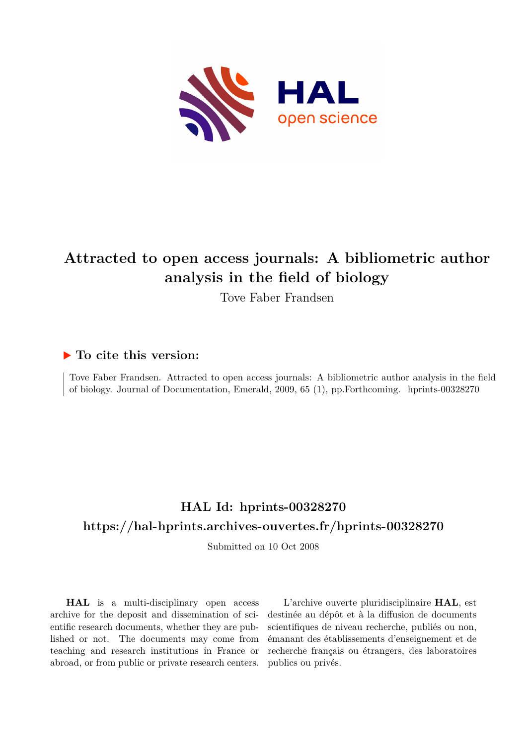

## **Attracted to open access journals: A bibliometric author analysis in the field of biology**

Tove Faber Frandsen

### **To cite this version:**

Tove Faber Frandsen. Attracted to open access journals: A bibliometric author analysis in the field of biology. Journal of Documentation, Emerald, 2009, 65 (1), pp. Forthcoming. hprints-00328270

## **HAL Id: hprints-00328270 <https://hal-hprints.archives-ouvertes.fr/hprints-00328270>**

Submitted on 10 Oct 2008

**HAL** is a multi-disciplinary open access archive for the deposit and dissemination of scientific research documents, whether they are published or not. The documents may come from teaching and research institutions in France or abroad, or from public or private research centers.

L'archive ouverte pluridisciplinaire **HAL**, est destinée au dépôt et à la diffusion de documents scientifiques de niveau recherche, publiés ou non, émanant des établissements d'enseignement et de recherche français ou étrangers, des laboratoires publics ou privés.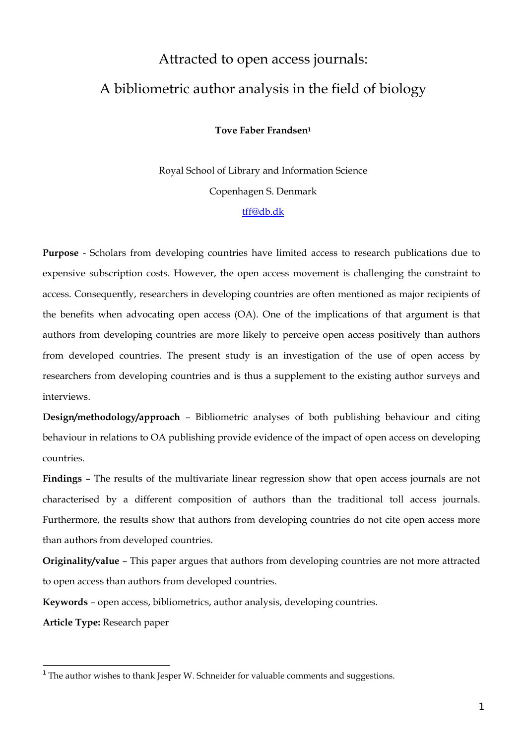# Attracted to open access journals: A bibliometric author analysis in the field of biology

**Tove Faber Frandsen1**

Royal School of Library and Information Science Copenhagen S. Denmark tff@db.dk

**Purpose** - Scholars from developing countries have limited access to research publications due to expensive subscription costs. However, the open access movement is challenging the constraint to access. Consequently, researchers in developing countries are often mentioned as major recipients of the benefits when advocating open access (OA). One of the implications of that argument is that authors from developing countries are more likely to perceive open access positively than authors from developed countries. The present study is an investigation of the use of open access by researchers from developing countries and is thus a supplement to the existing author surveys and interviews.

**Design/methodology/approach** – Bibliometric analyses of both publishing behaviour and citing behaviour in relations to OA publishing provide evidence of the impact of open access on developing countries.

**Findings** – The results of the multivariate linear regression show that open access journals are not characterised by a different composition of authors than the traditional toll access journals. Furthermore, the results show that authors from developing countries do not cite open access more than authors from developed countries.

**Originality/value** – This paper argues that authors from developing countries are not more attracted to open access than authors from developed countries.

**Keywords** – open access, bibliometrics, author analysis, developing countries.

**Article Type:** Research paper

 $\overline{a}$ 

 $1$  The author wishes to thank Jesper W. Schneider for valuable comments and suggestions.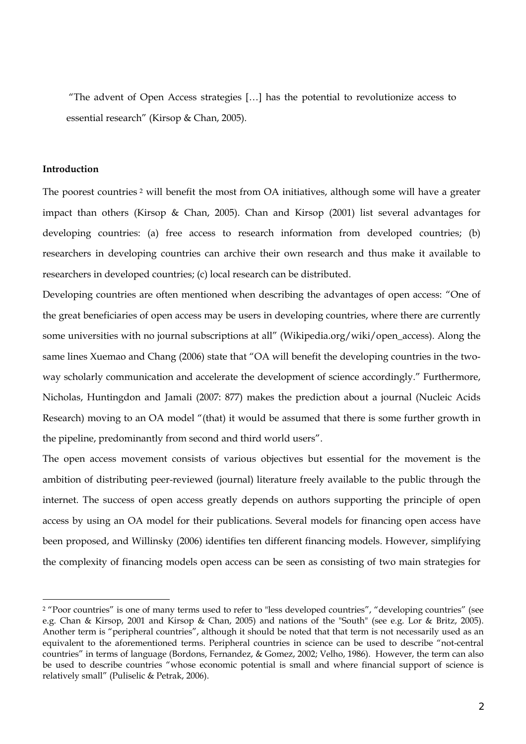"The advent of Open Access strategies […] has the potential to revolutionize access to essential research" (Kirsop & Chan, 2005).

#### **Introduction**

 $\overline{a}$ 

The poorest countries 2 will benefit the most from OA initiatives, although some will have a greater impact than others (Kirsop & Chan, 2005). Chan and Kirsop (2001) list several advantages for developing countries: (a) free access to research information from developed countries; (b) researchers in developing countries can archive their own research and thus make it available to researchers in developed countries; (c) local research can be distributed.

Developing countries are often mentioned when describing the advantages of open access: "One of the great beneficiaries of open access may be users in developing countries, where there are currently some universities with no journal subscriptions at all" (Wikipedia.org/wiki/open\_access). Along the same lines Xuemao and Chang (2006) state that "OA will benefit the developing countries in the twoway scholarly communication and accelerate the development of science accordingly." Furthermore, Nicholas, Huntingdon and Jamali (2007: 877) makes the prediction about a journal (Nucleic Acids Research) moving to an OA model "(that) it would be assumed that there is some further growth in the pipeline, predominantly from second and third world users".

The open access movement consists of various objectives but essential for the movement is the ambition of distributing peer-reviewed (journal) literature freely available to the public through the internet. The success of open access greatly depends on authors supporting the principle of open access by using an OA model for their publications. Several models for financing open access have been proposed, and Willinsky (2006) identifies ten different financing models. However, simplifying the complexity of financing models open access can be seen as consisting of two main strategies for

<sup>&</sup>lt;sup>2</sup> "Poor countries" is one of many terms used to refer to "less developed countries", "developing countries" (see e.g. Chan & Kirsop, 2001 and Kirsop & Chan, 2005) and nations of the "South" (see e.g. Lor & Britz, 2005). Another term is "peripheral countries", although it should be noted that that term is not necessarily used as an equivalent to the aforementioned terms. Peripheral countries in science can be used to describe "not-central countries" in terms of language (Bordons, Fernandez, & Gomez, 2002; Velho, 1986). However, the term can also be used to describe countries "whose economic potential is small and where financial support of science is relatively small" (Puliselic & Petrak, 2006).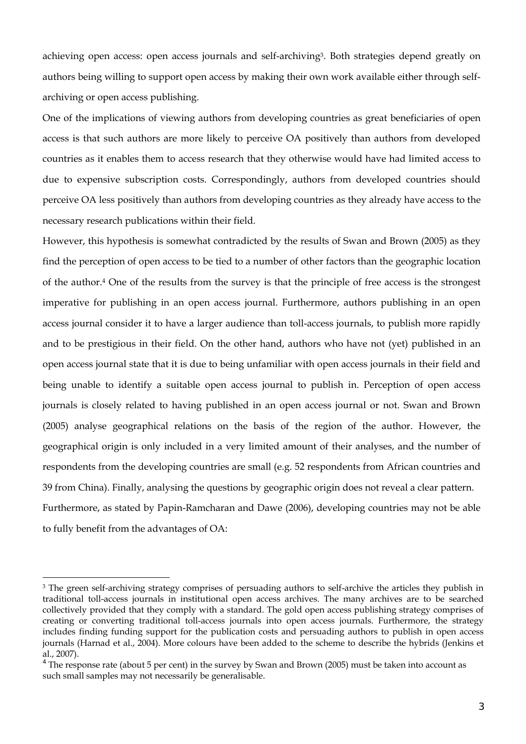achieving open access: open access journals and self-archiving3. Both strategies depend greatly on authors being willing to support open access by making their own work available either through selfarchiving or open access publishing.

One of the implications of viewing authors from developing countries as great beneficiaries of open access is that such authors are more likely to perceive OA positively than authors from developed countries as it enables them to access research that they otherwise would have had limited access to due to expensive subscription costs. Correspondingly, authors from developed countries should perceive OA less positively than authors from developing countries as they already have access to the necessary research publications within their field.

However, this hypothesis is somewhat contradicted by the results of Swan and Brown (2005) as they find the perception of open access to be tied to a number of other factors than the geographic location of the author.4 One of the results from the survey is that the principle of free access is the strongest imperative for publishing in an open access journal. Furthermore, authors publishing in an open access journal consider it to have a larger audience than toll-access journals, to publish more rapidly and to be prestigious in their field. On the other hand, authors who have not (yet) published in an open access journal state that it is due to being unfamiliar with open access journals in their field and being unable to identify a suitable open access journal to publish in. Perception of open access journals is closely related to having published in an open access journal or not. Swan and Brown (2005) analyse geographical relations on the basis of the region of the author. However, the geographical origin is only included in a very limited amount of their analyses, and the number of respondents from the developing countries are small (e.g. 52 respondents from African countries and 39 from China). Finally, analysing the questions by geographic origin does not reveal a clear pattern. Furthermore, as stated by Papin-Ramcharan and Dawe (2006), developing countries may not be able to fully benefit from the advantages of OA:

 $\overline{a}$ 

<sup>&</sup>lt;sup>3</sup> The green self-archiving strategy comprises of persuading authors to self-archive the articles they publish in traditional toll-access journals in institutional open access archives. The many archives are to be searched collectively provided that they comply with a standard. The gold open access publishing strategy comprises of creating or converting traditional toll-access journals into open access journals. Furthermore, the strategy includes finding funding support for the publication costs and persuading authors to publish in open access journals (Harnad et al., 2004). More colours have been added to the scheme to describe the hybrids (Jenkins et al., 2007).

<sup>&</sup>lt;sup>4</sup> The response rate (about 5 per cent) in the survey by Swan and Brown (2005) must be taken into account as such small samples may not necessarily be generalisable.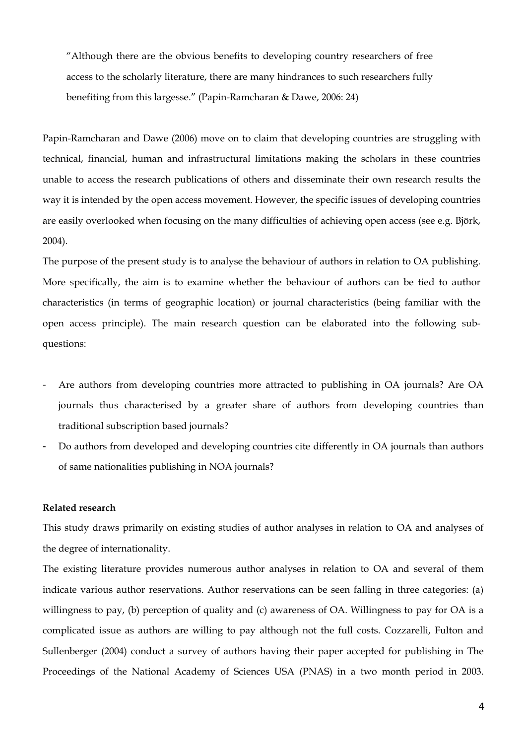"Although there are the obvious benefits to developing country researchers of free access to the scholarly literature, there are many hindrances to such researchers fully benefiting from this largesse." (Papin-Ramcharan & Dawe, 2006: 24)

Papin-Ramcharan and Dawe (2006) move on to claim that developing countries are struggling with technical, financial, human and infrastructural limitations making the scholars in these countries unable to access the research publications of others and disseminate their own research results the way it is intended by the open access movement. However, the specific issues of developing countries are easily overlooked when focusing on the many difficulties of achieving open access (see e.g. Björk, 2004).

The purpose of the present study is to analyse the behaviour of authors in relation to OA publishing. More specifically, the aim is to examine whether the behaviour of authors can be tied to author characteristics (in terms of geographic location) or journal characteristics (being familiar with the open access principle). The main research question can be elaborated into the following subquestions:

- Are authors from developing countries more attracted to publishing in OA journals? Are OA journals thus characterised by a greater share of authors from developing countries than traditional subscription based journals?
- Do authors from developed and developing countries cite differently in OA journals than authors of same nationalities publishing in NOA journals?

#### **Related research**

This study draws primarily on existing studies of author analyses in relation to OA and analyses of the degree of internationality.

The existing literature provides numerous author analyses in relation to OA and several of them indicate various author reservations. Author reservations can be seen falling in three categories: (a) willingness to pay, (b) perception of quality and (c) awareness of OA. Willingness to pay for OA is a complicated issue as authors are willing to pay although not the full costs. Cozzarelli, Fulton and Sullenberger (2004) conduct a survey of authors having their paper accepted for publishing in The Proceedings of the National Academy of Sciences USA (PNAS) in a two month period in 2003.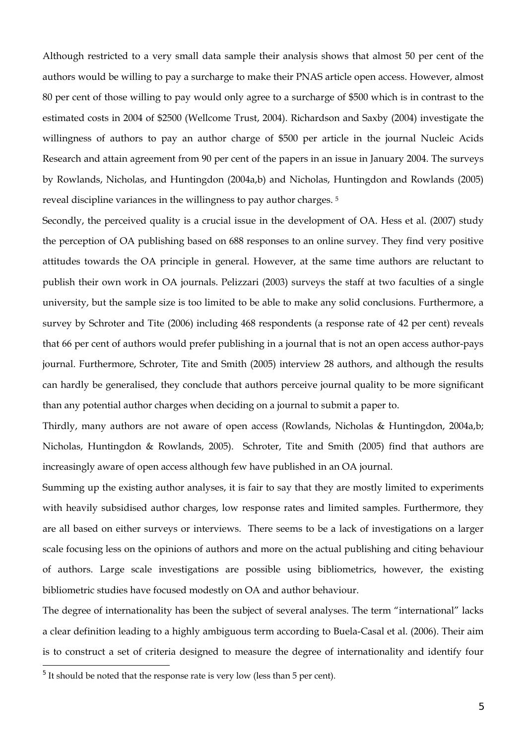Although restricted to a very small data sample their analysis shows that almost 50 per cent of the authors would be willing to pay a surcharge to make their PNAS article open access. However, almost 80 per cent of those willing to pay would only agree to a surcharge of \$500 which is in contrast to the estimated costs in 2004 of \$2500 (Wellcome Trust, 2004). Richardson and Saxby (2004) investigate the willingness of authors to pay an author charge of \$500 per article in the journal Nucleic Acids Research and attain agreement from 90 per cent of the papers in an issue in January 2004. The surveys by Rowlands, Nicholas, and Huntingdon (2004a,b) and Nicholas, Huntingdon and Rowlands (2005) reveal discipline variances in the willingness to pay author charges. 5

Secondly, the perceived quality is a crucial issue in the development of OA. Hess et al. (2007) study the perception of OA publishing based on 688 responses to an online survey. They find very positive attitudes towards the OA principle in general. However, at the same time authors are reluctant to publish their own work in OA journals. Pelizzari (2003) surveys the staff at two faculties of a single university, but the sample size is too limited to be able to make any solid conclusions. Furthermore, a survey by Schroter and Tite (2006) including 468 respondents (a response rate of 42 per cent) reveals that 66 per cent of authors would prefer publishing in a journal that is not an open access author-pays journal. Furthermore, Schroter, Tite and Smith (2005) interview 28 authors, and although the results can hardly be generalised, they conclude that authors perceive journal quality to be more significant than any potential author charges when deciding on a journal to submit a paper to.

Thirdly, many authors are not aware of open access (Rowlands, Nicholas & Huntingdon, 2004a,b; Nicholas, Huntingdon & Rowlands, 2005). Schroter, Tite and Smith (2005) find that authors are increasingly aware of open access although few have published in an OA journal.

Summing up the existing author analyses, it is fair to say that they are mostly limited to experiments with heavily subsidised author charges, low response rates and limited samples. Furthermore, they are all based on either surveys or interviews. There seems to be a lack of investigations on a larger scale focusing less on the opinions of authors and more on the actual publishing and citing behaviour of authors. Large scale investigations are possible using bibliometrics, however, the existing bibliometric studies have focused modestly on OA and author behaviour.

The degree of internationality has been the subject of several analyses. The term "international" lacks a clear definition leading to a highly ambiguous term according to Buela-Casal et al. (2006). Their aim is to construct a set of criteria designed to measure the degree of internationality and identify four

 $\overline{a}$ 

 $5$  It should be noted that the response rate is very low (less than  $5$  per cent).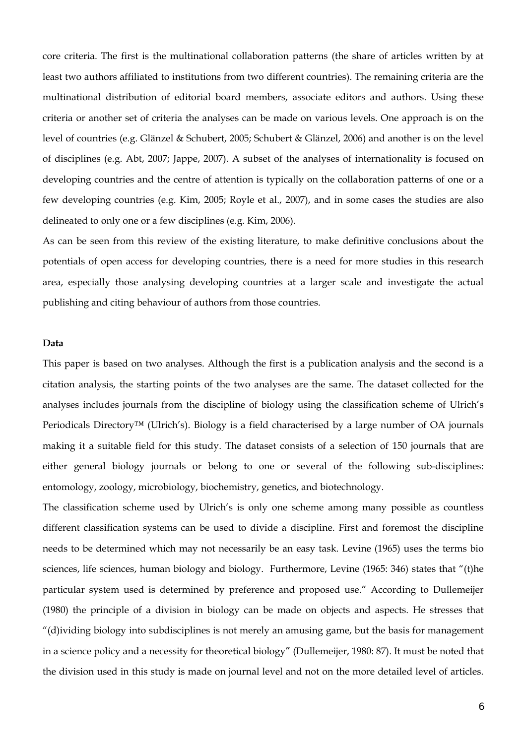core criteria. The first is the multinational collaboration patterns (the share of articles written by at least two authors affiliated to institutions from two different countries). The remaining criteria are the multinational distribution of editorial board members, associate editors and authors. Using these criteria or another set of criteria the analyses can be made on various levels. One approach is on the level of countries (e.g. Glänzel & Schubert, 2005; Schubert & Glänzel, 2006) and another is on the level of disciplines (e.g. Abt, 2007; Jappe, 2007). A subset of the analyses of internationality is focused on developing countries and the centre of attention is typically on the collaboration patterns of one or a few developing countries (e.g. Kim, 2005; Royle et al., 2007), and in some cases the studies are also delineated to only one or a few disciplines (e.g. Kim, 2006).

As can be seen from this review of the existing literature, to make definitive conclusions about the potentials of open access for developing countries, there is a need for more studies in this research area, especially those analysing developing countries at a larger scale and investigate the actual publishing and citing behaviour of authors from those countries.

#### **Data**

This paper is based on two analyses. Although the first is a publication analysis and the second is a citation analysis, the starting points of the two analyses are the same. The dataset collected for the analyses includes journals from the discipline of biology using the classification scheme of Ulrich's Periodicals Directory<sup>™</sup> (Ulrich's). Biology is a field characterised by a large number of OA journals making it a suitable field for this study. The dataset consists of a selection of 150 journals that are either general biology journals or belong to one or several of the following sub-disciplines: entomology, zoology, microbiology, biochemistry, genetics, and biotechnology.

The classification scheme used by Ulrich's is only one scheme among many possible as countless different classification systems can be used to divide a discipline. First and foremost the discipline needs to be determined which may not necessarily be an easy task. Levine (1965) uses the terms bio sciences, life sciences, human biology and biology. Furthermore, Levine (1965: 346) states that "(t)he particular system used is determined by preference and proposed use." According to Dullemeijer (1980) the principle of a division in biology can be made on objects and aspects. He stresses that "(d)ividing biology into subdisciplines is not merely an amusing game, but the basis for management in a science policy and a necessity for theoretical biology" (Dullemeijer, 1980: 87). It must be noted that the division used in this study is made on journal level and not on the more detailed level of articles.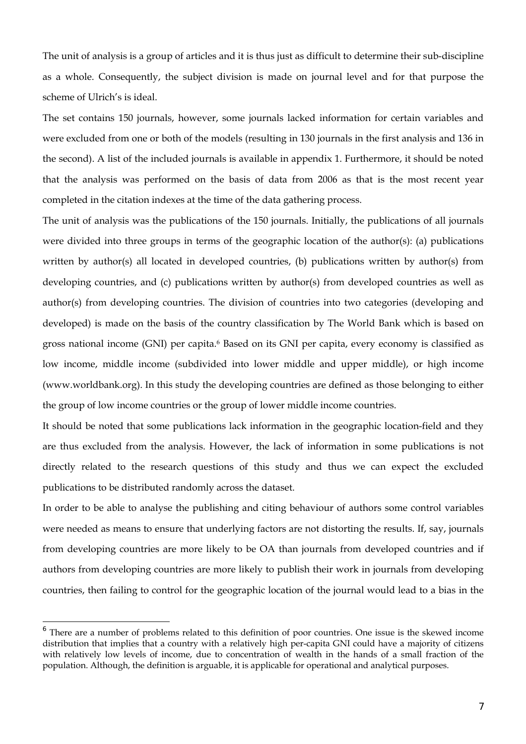The unit of analysis is a group of articles and it is thus just as difficult to determine their sub-discipline as a whole. Consequently, the subject division is made on journal level and for that purpose the scheme of Ulrich's is ideal.

The set contains 150 journals, however, some journals lacked information for certain variables and were excluded from one or both of the models (resulting in 130 journals in the first analysis and 136 in the second). A list of the included journals is available in appendix 1. Furthermore, it should be noted that the analysis was performed on the basis of data from 2006 as that is the most recent year completed in the citation indexes at the time of the data gathering process.

The unit of analysis was the publications of the 150 journals. Initially, the publications of all journals were divided into three groups in terms of the geographic location of the author(s): (a) publications written by author(s) all located in developed countries, (b) publications written by author(s) from developing countries, and (c) publications written by author(s) from developed countries as well as author(s) from developing countries. The division of countries into two categories (developing and developed) is made on the basis of the country classification by The World Bank which is based on gross national income (GNI) per capita.6 Based on its GNI per capita, every economy is classified as low income, middle income (subdivided into lower middle and upper middle), or high income (www.worldbank.org). In this study the developing countries are defined as those belonging to either the group of low income countries or the group of lower middle income countries.

It should be noted that some publications lack information in the geographic location-field and they are thus excluded from the analysis. However, the lack of information in some publications is not directly related to the research questions of this study and thus we can expect the excluded publications to be distributed randomly across the dataset.

In order to be able to analyse the publishing and citing behaviour of authors some control variables were needed as means to ensure that underlying factors are not distorting the results. If, say, journals from developing countries are more likely to be OA than journals from developed countries and if authors from developing countries are more likely to publish their work in journals from developing countries, then failing to control for the geographic location of the journal would lead to a bias in the

<sup>&</sup>lt;sup>6</sup> There are a number of problems related to this definition of poor countries. One issue is the skewed income distribution that implies that a country with a relatively high per-capita GNI could have a majority of citizens with relatively low levels of income, due to concentration of wealth in the hands of a small fraction of the population. Although, the definition is arguable, it is applicable for operational and analytical purposes.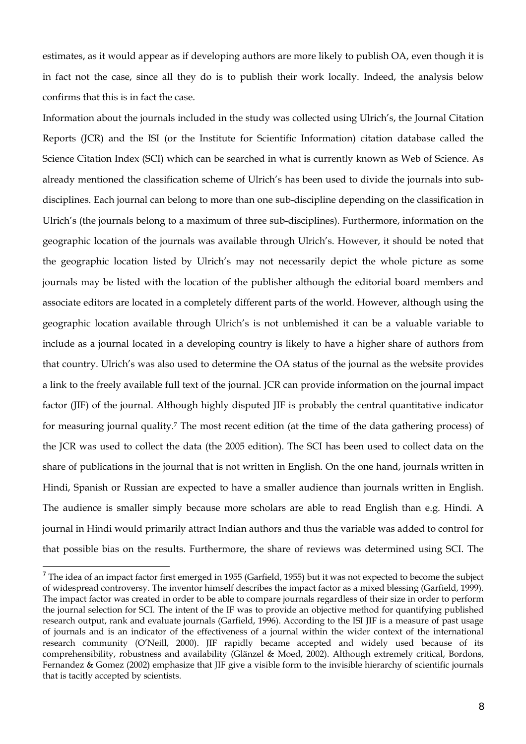estimates, as it would appear as if developing authors are more likely to publish OA, even though it is in fact not the case, since all they do is to publish their work locally. Indeed, the analysis below confirms that this is in fact the case.

Information about the journals included in the study was collected using Ulrich's, the Journal Citation Reports (JCR) and the ISI (or the Institute for Scientific Information) citation database called the Science Citation Index (SCI) which can be searched in what is currently known as Web of Science. As already mentioned the classification scheme of Ulrich's has been used to divide the journals into subdisciplines. Each journal can belong to more than one sub-discipline depending on the classification in Ulrich's (the journals belong to a maximum of three sub-disciplines). Furthermore, information on the geographic location of the journals was available through Ulrich's. However, it should be noted that the geographic location listed by Ulrich's may not necessarily depict the whole picture as some journals may be listed with the location of the publisher although the editorial board members and associate editors are located in a completely different parts of the world. However, although using the geographic location available through Ulrich's is not unblemished it can be a valuable variable to include as a journal located in a developing country is likely to have a higher share of authors from that country. Ulrich's was also used to determine the OA status of the journal as the website provides a link to the freely available full text of the journal. JCR can provide information on the journal impact factor (JIF) of the journal. Although highly disputed JIF is probably the central quantitative indicator for measuring journal quality.7 The most recent edition (at the time of the data gathering process) of the JCR was used to collect the data (the 2005 edition). The SCI has been used to collect data on the share of publications in the journal that is not written in English. On the one hand, journals written in Hindi, Spanish or Russian are expected to have a smaller audience than journals written in English. The audience is smaller simply because more scholars are able to read English than e.g. Hindi. A journal in Hindi would primarily attract Indian authors and thus the variable was added to control for that possible bias on the results. Furthermore, the share of reviews was determined using SCI. The

 $\overline{a}$ 

 $<sup>7</sup>$  The idea of an impact factor first emerged in 1955 (Garfield, 1955) but it was not expected to become the subject</sup> of widespread controversy. The inventor himself describes the impact factor as a mixed blessing (Garfield, 1999). The impact factor was created in order to be able to compare journals regardless of their size in order to perform the journal selection for SCI. The intent of the IF was to provide an objective method for quantifying published research output, rank and evaluate journals (Garfield, 1996). According to the ISI JIF is a measure of past usage of journals and is an indicator of the effectiveness of a journal within the wider context of the international research community (O'Neill, 2000). JIF rapidly became accepted and widely used because of its comprehensibility, robustness and availability (Glänzel & Moed, 2002). Although extremely critical, Bordons, Fernandez & Gomez (2002) emphasize that JIF give a visible form to the invisible hierarchy of scientific journals that is tacitly accepted by scientists.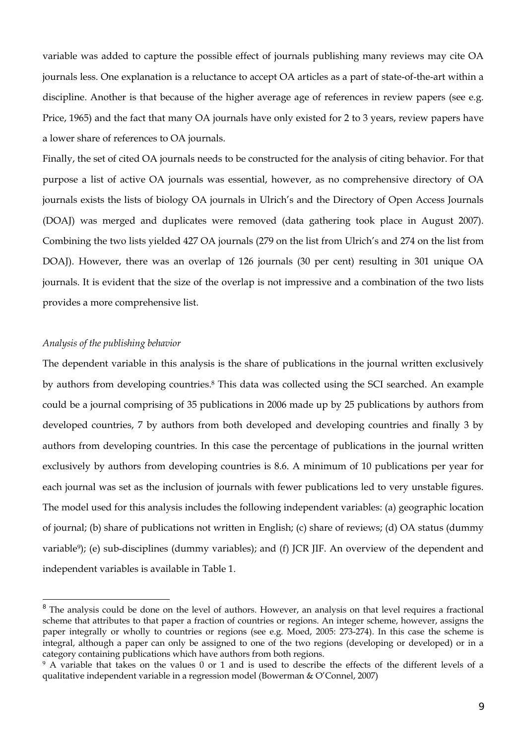variable was added to capture the possible effect of journals publishing many reviews may cite OA journals less. One explanation is a reluctance to accept OA articles as a part of state-of-the-art within a discipline. Another is that because of the higher average age of references in review papers (see e.g. Price, 1965) and the fact that many OA journals have only existed for 2 to 3 years, review papers have a lower share of references to OA journals.

Finally, the set of cited OA journals needs to be constructed for the analysis of citing behavior. For that purpose a list of active OA journals was essential, however, as no comprehensive directory of OA journals exists the lists of biology OA journals in Ulrich's and the Directory of Open Access Journals (DOAJ) was merged and duplicates were removed (data gathering took place in August 2007). Combining the two lists yielded 427 OA journals (279 on the list from Ulrich's and 274 on the list from DOAJ). However, there was an overlap of 126 journals (30 per cent) resulting in 301 unique OA journals. It is evident that the size of the overlap is not impressive and a combination of the two lists provides a more comprehensive list.

#### *Analysis of the publishing behavior*

 $\overline{a}$ 

The dependent variable in this analysis is the share of publications in the journal written exclusively by authors from developing countries.8 This data was collected using the SCI searched. An example could be a journal comprising of 35 publications in 2006 made up by 25 publications by authors from developed countries, 7 by authors from both developed and developing countries and finally 3 by authors from developing countries. In this case the percentage of publications in the journal written exclusively by authors from developing countries is 8.6. A minimum of 10 publications per year for each journal was set as the inclusion of journals with fewer publications led to very unstable figures. The model used for this analysis includes the following independent variables: (a) geographic location of journal; (b) share of publications not written in English; (c) share of reviews; (d) OA status (dummy variable9); (e) sub-disciplines (dummy variables); and (f) JCR JIF. An overview of the dependent and independent variables is available in Table 1.

<sup>&</sup>lt;sup>8</sup> The analysis could be done on the level of authors. However, an analysis on that level requires a fractional scheme that attributes to that paper a fraction of countries or regions. An integer scheme, however, assigns the paper integrally or wholly to countries or regions (see e.g. Moed, 2005: 273-274). In this case the scheme is integral, although a paper can only be assigned to one of the two regions (developing or developed) or in a category containing publications which have authors from both regions.

<sup>9</sup> A variable that takes on the values 0 or 1 and is used to describe the effects of the different levels of a qualitative independent variable in a regression model (Bowerman & O'Connel, 2007)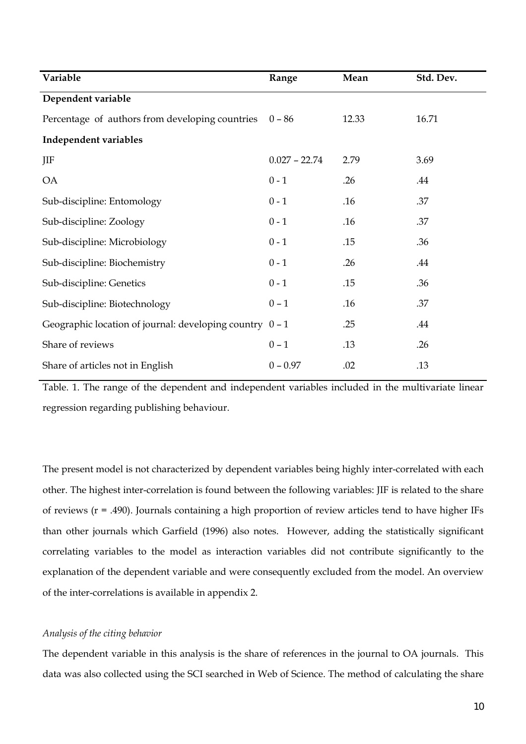| Variable                                                   | Range           | Mean  | Std. Dev. |
|------------------------------------------------------------|-----------------|-------|-----------|
| Dependent variable                                         |                 |       |           |
| Percentage of authors from developing countries            | $0 - 86$        | 12.33 | 16.71     |
| Independent variables                                      |                 |       |           |
| JIF                                                        | $0.027 - 22.74$ | 2.79  | 3.69      |
| <b>OA</b>                                                  | $0 - 1$         | .26   | .44       |
| Sub-discipline: Entomology                                 | $0 - 1$         | .16   | .37       |
| Sub-discipline: Zoology                                    | $0 - 1$         | .16   | .37       |
| Sub-discipline: Microbiology                               | $0 - 1$         | .15   | .36       |
| Sub-discipline: Biochemistry                               | $0 - 1$         | .26   | .44       |
| Sub-discipline: Genetics                                   | $0 - 1$         | .15   | .36       |
| Sub-discipline: Biotechnology                              | $0 - 1$         | .16   | .37       |
| Geographic location of journal: developing country $0 - 1$ |                 | .25   | .44       |
| Share of reviews                                           | $0 - 1$         | .13   | .26       |
| Share of articles not in English                           | $0 - 0.97$      | .02   | .13       |

Table. 1. The range of the dependent and independent variables included in the multivariate linear regression regarding publishing behaviour.

The present model is not characterized by dependent variables being highly inter-correlated with each other. The highest inter-correlation is found between the following variables: JIF is related to the share of reviews (r = .490). Journals containing a high proportion of review articles tend to have higher IFs than other journals which Garfield (1996) also notes. However, adding the statistically significant correlating variables to the model as interaction variables did not contribute significantly to the explanation of the dependent variable and were consequently excluded from the model. An overview of the inter-correlations is available in appendix 2.

#### *Analysis of the citing behavior*

The dependent variable in this analysis is the share of references in the journal to OA journals. This data was also collected using the SCI searched in Web of Science. The method of calculating the share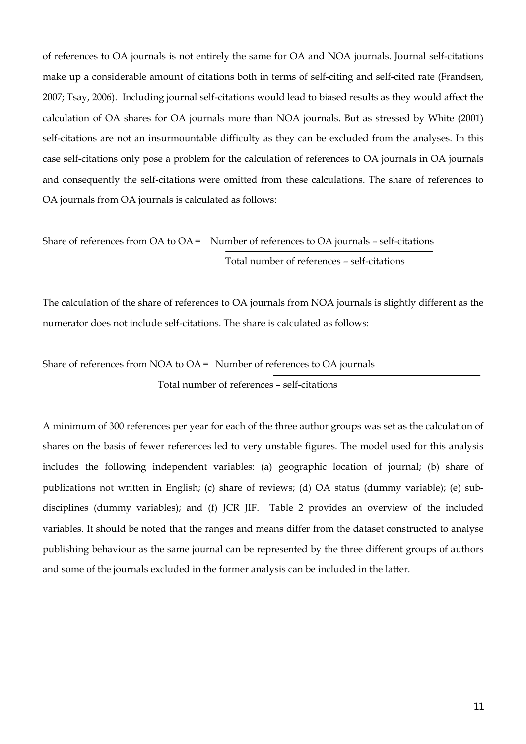of references to OA journals is not entirely the same for OA and NOA journals. Journal self-citations make up a considerable amount of citations both in terms of self-citing and self-cited rate (Frandsen, 2007; Tsay, 2006). Including journal self-citations would lead to biased results as they would affect the calculation of OA shares for OA journals more than NOA journals. But as stressed by White (2001) self-citations are not an insurmountable difficulty as they can be excluded from the analyses. In this case self-citations only pose a problem for the calculation of references to OA journals in OA journals and consequently the self-citations were omitted from these calculations. The share of references to OA journals from OA journals is calculated as follows:

Share of references from OA to OA= Number of references to OA journals - self-citations Total number of references – self-citations

The calculation of the share of references to OA journals from NOA journals is slightly different as the numerator does not include self-citations. The share is calculated as follows:

Share of references from NOA to OA = Number of references to OA journals Total number of references – self-citations

A minimum of 300 references per year for each of the three author groups was set as the calculation of shares on the basis of fewer references led to very unstable figures. The model used for this analysis includes the following independent variables: (a) geographic location of journal; (b) share of publications not written in English; (c) share of reviews; (d) OA status (dummy variable); (e) subdisciplines (dummy variables); and (f) JCR JIF. Table 2 provides an overview of the included variables. It should be noted that the ranges and means differ from the dataset constructed to analyse publishing behaviour as the same journal can be represented by the three different groups of authors and some of the journals excluded in the former analysis can be included in the latter.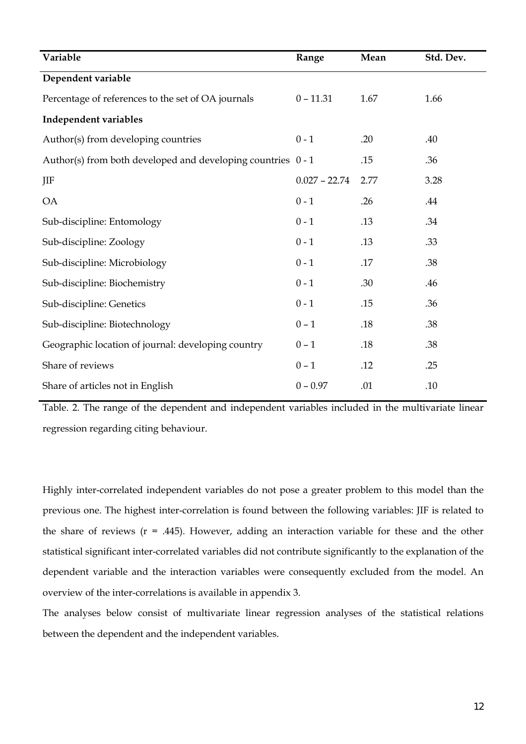| Variable                                                     | Range           | Mean | Std. Dev. |
|--------------------------------------------------------------|-----------------|------|-----------|
| Dependent variable                                           |                 |      |           |
| Percentage of references to the set of OA journals           | $0 - 11.31$     | 1.67 | 1.66      |
| Independent variables                                        |                 |      |           |
| Author(s) from developing countries                          | $0 - 1$         | .20  | .40       |
| Author(s) from both developed and developing countries 0 - 1 |                 | .15  | .36       |
| JIF                                                          | $0.027 - 22.74$ | 2.77 | 3.28      |
| <b>OA</b>                                                    | $0 - 1$         | .26  | .44       |
| Sub-discipline: Entomology                                   | $0 - 1$         | .13  | .34       |
| Sub-discipline: Zoology                                      | $0 - 1$         | .13  | .33       |
| Sub-discipline: Microbiology                                 | $0 - 1$         | .17  | .38       |
| Sub-discipline: Biochemistry                                 | $0 - 1$         | .30  | .46       |
| Sub-discipline: Genetics                                     | $0 - 1$         | .15  | .36       |
| Sub-discipline: Biotechnology                                | $0 - 1$         | .18  | .38       |
| Geographic location of journal: developing country           | $0 - 1$         | .18  | .38       |
| Share of reviews                                             | $0 - 1$         | .12  | .25       |
| Share of articles not in English                             | $0 - 0.97$      | .01  | .10       |

Table. 2. The range of the dependent and independent variables included in the multivariate linear regression regarding citing behaviour.

Highly inter-correlated independent variables do not pose a greater problem to this model than the previous one. The highest inter-correlation is found between the following variables: JIF is related to the share of reviews  $(r = .445)$ . However, adding an interaction variable for these and the other statistical significant inter-correlated variables did not contribute significantly to the explanation of the dependent variable and the interaction variables were consequently excluded from the model. An overview of the inter-correlations is available in appendix 3.

The analyses below consist of multivariate linear regression analyses of the statistical relations between the dependent and the independent variables.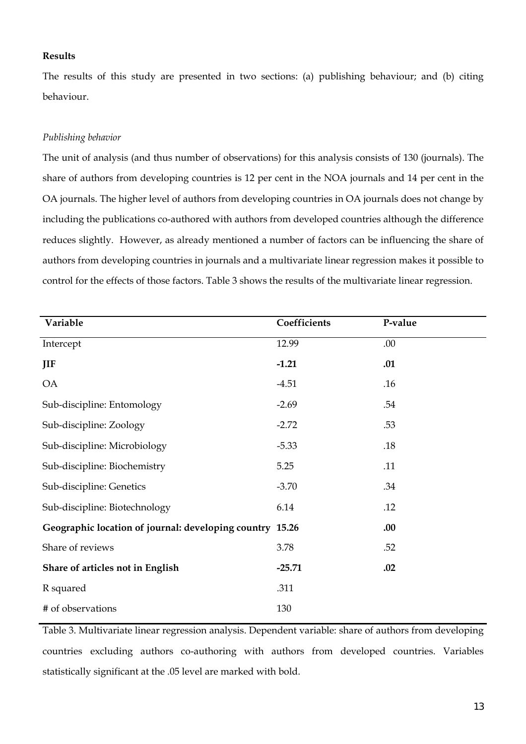#### **Results**

The results of this study are presented in two sections: (a) publishing behaviour; and (b) citing behaviour.

#### *Publishing behavior*

The unit of analysis (and thus number of observations) for this analysis consists of 130 (journals). The share of authors from developing countries is 12 per cent in the NOA journals and 14 per cent in the OA journals. The higher level of authors from developing countries in OA journals does not change by including the publications co-authored with authors from developed countries although the difference reduces slightly. However, as already mentioned a number of factors can be influencing the share of authors from developing countries in journals and a multivariate linear regression makes it possible to control for the effects of those factors. Table 3 shows the results of the multivariate linear regression.

| Variable                                                 | Coefficients | P-value |
|----------------------------------------------------------|--------------|---------|
| Intercept                                                | 12.99        | .00     |
| JIF                                                      | $-1.21$      | .01     |
| <b>OA</b>                                                | $-4.51$      | .16     |
| Sub-discipline: Entomology                               | $-2.69$      | .54     |
| Sub-discipline: Zoology                                  | $-2.72$      | .53     |
| Sub-discipline: Microbiology                             | $-5.33$      | .18     |
| Sub-discipline: Biochemistry                             | 5.25         | .11     |
| Sub-discipline: Genetics                                 | $-3.70$      | .34     |
| Sub-discipline: Biotechnology                            | 6.14         | .12     |
| Geographic location of journal: developing country 15.26 |              | .00.    |
| Share of reviews                                         | 3.78         | .52     |
| Share of articles not in English                         | $-25.71$     | .02     |
| R squared                                                | .311         |         |
| # of observations                                        | 130          |         |

Table 3. Multivariate linear regression analysis. Dependent variable: share of authors from developing countries excluding authors co-authoring with authors from developed countries. Variables statistically significant at the .05 level are marked with bold.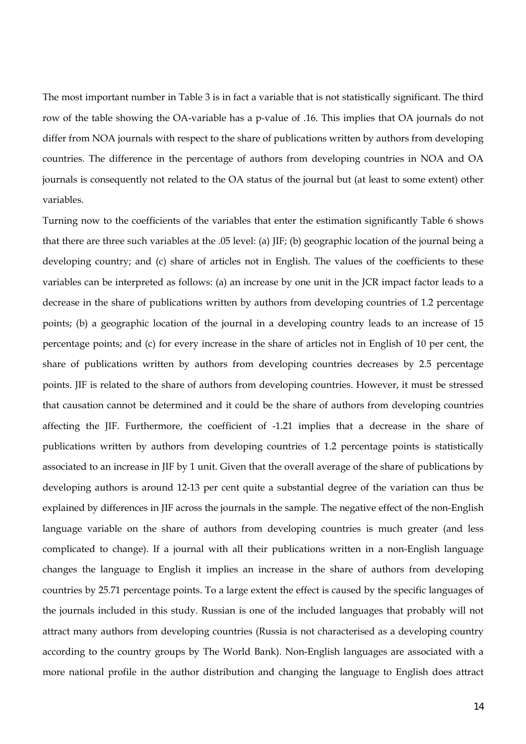The most important number in Table 3 is in fact a variable that is not statistically significant. The third row of the table showing the OA-variable has a p-value of .16. This implies that OA journals do not differ from NOA journals with respect to the share of publications written by authors from developing countries. The difference in the percentage of authors from developing countries in NOA and OA journals is consequently not related to the OA status of the journal but (at least to some extent) other variables.

Turning now to the coefficients of the variables that enter the estimation significantly Table 6 shows that there are three such variables at the .05 level: (a) JIF; (b) geographic location of the journal being a developing country; and (c) share of articles not in English. The values of the coefficients to these variables can be interpreted as follows: (a) an increase by one unit in the JCR impact factor leads to a decrease in the share of publications written by authors from developing countries of 1.2 percentage points; (b) a geographic location of the journal in a developing country leads to an increase of 15 percentage points; and (c) for every increase in the share of articles not in English of 10 per cent, the share of publications written by authors from developing countries decreases by 2.5 percentage points. JIF is related to the share of authors from developing countries. However, it must be stressed that causation cannot be determined and it could be the share of authors from developing countries affecting the JIF. Furthermore, the coefficient of -1.21 implies that a decrease in the share of publications written by authors from developing countries of 1.2 percentage points is statistically associated to an increase in JIF by 1 unit. Given that the overall average of the share of publications by developing authors is around 12-13 per cent quite a substantial degree of the variation can thus be explained by differences in JIF across the journals in the sample. The negative effect of the non-English language variable on the share of authors from developing countries is much greater (and less complicated to change). If a journal with all their publications written in a non-English language changes the language to English it implies an increase in the share of authors from developing countries by 25.71 percentage points. To a large extent the effect is caused by the specific languages of the journals included in this study. Russian is one of the included languages that probably will not attract many authors from developing countries (Russia is not characterised as a developing country according to the country groups by The World Bank). Non-English languages are associated with a more national profile in the author distribution and changing the language to English does attract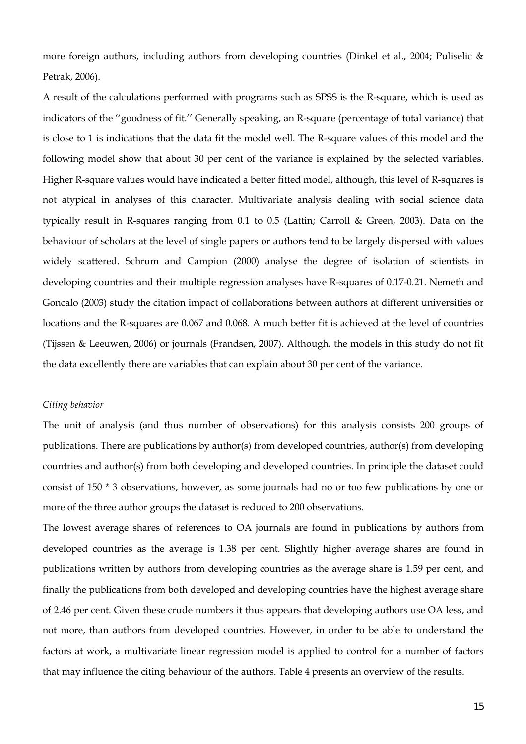more foreign authors, including authors from developing countries (Dinkel et al., 2004; Puliselic & Petrak, 2006).

A result of the calculations performed with programs such as SPSS is the R-square, which is used as indicators of the ''goodness of fit.'' Generally speaking, an R-square (percentage of total variance) that is close to 1 is indications that the data fit the model well. The R-square values of this model and the following model show that about 30 per cent of the variance is explained by the selected variables. Higher R-square values would have indicated a better fitted model, although, this level of R-squares is not atypical in analyses of this character. Multivariate analysis dealing with social science data typically result in R-squares ranging from 0.1 to 0.5 (Lattin; Carroll & Green, 2003). Data on the behaviour of scholars at the level of single papers or authors tend to be largely dispersed with values widely scattered. Schrum and Campion (2000) analyse the degree of isolation of scientists in developing countries and their multiple regression analyses have R-squares of 0.17-0.21. Nemeth and Goncalo (2003) study the citation impact of collaborations between authors at different universities or locations and the R-squares are 0.067 and 0.068. A much better fit is achieved at the level of countries (Tijssen & Leeuwen, 2006) or journals (Frandsen, 2007). Although, the models in this study do not fit the data excellently there are variables that can explain about 30 per cent of the variance.

#### *Citing behavior*

The unit of analysis (and thus number of observations) for this analysis consists 200 groups of publications. There are publications by author(s) from developed countries, author(s) from developing countries and author(s) from both developing and developed countries. In principle the dataset could consist of 150 \* 3 observations, however, as some journals had no or too few publications by one or more of the three author groups the dataset is reduced to 200 observations.

The lowest average shares of references to OA journals are found in publications by authors from developed countries as the average is 1.38 per cent. Slightly higher average shares are found in publications written by authors from developing countries as the average share is 1.59 per cent, and finally the publications from both developed and developing countries have the highest average share of 2.46 per cent. Given these crude numbers it thus appears that developing authors use OA less, and not more, than authors from developed countries. However, in order to be able to understand the factors at work, a multivariate linear regression model is applied to control for a number of factors that may influence the citing behaviour of the authors. Table 4 presents an overview of the results.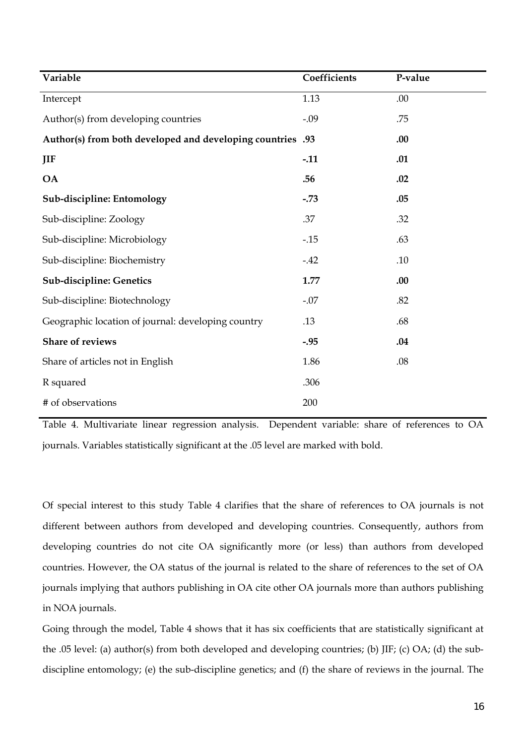| Variable                                                   | Coefficients | P-value |
|------------------------------------------------------------|--------------|---------|
| Intercept                                                  | 1.13         | .00     |
| Author(s) from developing countries                        | $-.09$       | .75     |
| Author(s) from both developed and developing countries .93 |              | .00     |
| <b>JIF</b>                                                 | $-0.11$      | .01     |
| <b>OA</b>                                                  | .56          | .02     |
| <b>Sub-discipline: Entomology</b>                          | $-.73$       | .05     |
| Sub-discipline: Zoology                                    | .37          | .32     |
| Sub-discipline: Microbiology                               | $-.15$       | .63     |
| Sub-discipline: Biochemistry                               | $-42$        | .10     |
| <b>Sub-discipline: Genetics</b>                            | 1.77         | .00     |
| Sub-discipline: Biotechnology                              | $-.07$       | .82     |
| Geographic location of journal: developing country         | .13          | .68     |
| <b>Share of reviews</b>                                    | $-.95$       | .04     |
| Share of articles not in English                           | 1.86         | .08     |
| R squared                                                  | .306         |         |
| # of observations                                          | 200          |         |

Table 4. Multivariate linear regression analysis. Dependent variable: share of references to OA journals. Variables statistically significant at the .05 level are marked with bold.

Of special interest to this study Table 4 clarifies that the share of references to OA journals is not different between authors from developed and developing countries. Consequently, authors from developing countries do not cite OA significantly more (or less) than authors from developed countries. However, the OA status of the journal is related to the share of references to the set of OA journals implying that authors publishing in OA cite other OA journals more than authors publishing in NOA journals.

Going through the model, Table 4 shows that it has six coefficients that are statistically significant at the .05 level: (a) author(s) from both developed and developing countries; (b) JIF; (c) OA; (d) the subdiscipline entomology; (e) the sub-discipline genetics; and (f) the share of reviews in the journal. The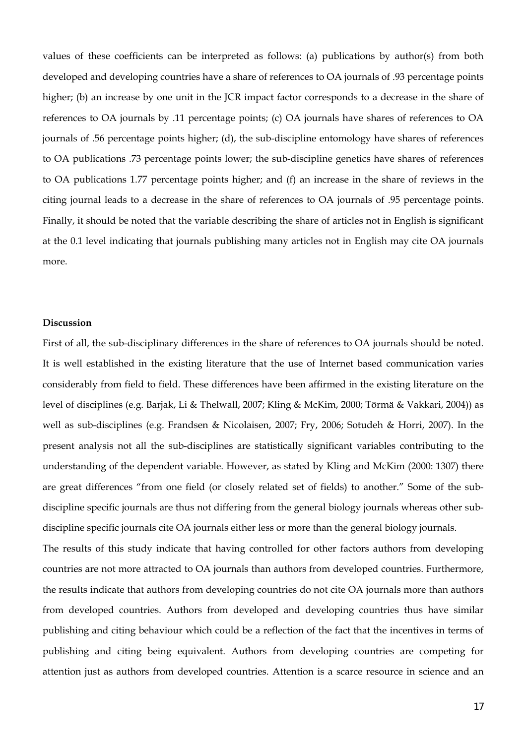values of these coefficients can be interpreted as follows: (a) publications by author(s) from both developed and developing countries have a share of references to OA journals of .93 percentage points higher; (b) an increase by one unit in the JCR impact factor corresponds to a decrease in the share of references to OA journals by .11 percentage points; (c) OA journals have shares of references to OA journals of .56 percentage points higher; (d), the sub-discipline entomology have shares of references to OA publications .73 percentage points lower; the sub-discipline genetics have shares of references to OA publications 1.77 percentage points higher; and (f) an increase in the share of reviews in the citing journal leads to a decrease in the share of references to OA journals of .95 percentage points. Finally, it should be noted that the variable describing the share of articles not in English is significant at the 0.1 level indicating that journals publishing many articles not in English may cite OA journals more.

#### **Discussion**

First of all, the sub-disciplinary differences in the share of references to OA journals should be noted. It is well established in the existing literature that the use of Internet based communication varies considerably from field to field. These differences have been affirmed in the existing literature on the level of disciplines (e.g. Barjak, Li & Thelwall, 2007; Kling & McKim, 2000; Törmä & Vakkari, 2004)) as well as sub-disciplines (e.g. Frandsen & Nicolaisen, 2007; Fry, 2006; Sotudeh & Horri, 2007). In the present analysis not all the sub-disciplines are statistically significant variables contributing to the understanding of the dependent variable. However, as stated by Kling and McKim (2000: 1307) there are great differences "from one field (or closely related set of fields) to another." Some of the subdiscipline specific journals are thus not differing from the general biology journals whereas other subdiscipline specific journals cite OA journals either less or more than the general biology journals.

The results of this study indicate that having controlled for other factors authors from developing countries are not more attracted to OA journals than authors from developed countries. Furthermore, the results indicate that authors from developing countries do not cite OA journals more than authors from developed countries. Authors from developed and developing countries thus have similar publishing and citing behaviour which could be a reflection of the fact that the incentives in terms of publishing and citing being equivalent. Authors from developing countries are competing for attention just as authors from developed countries. Attention is a scarce resource in science and an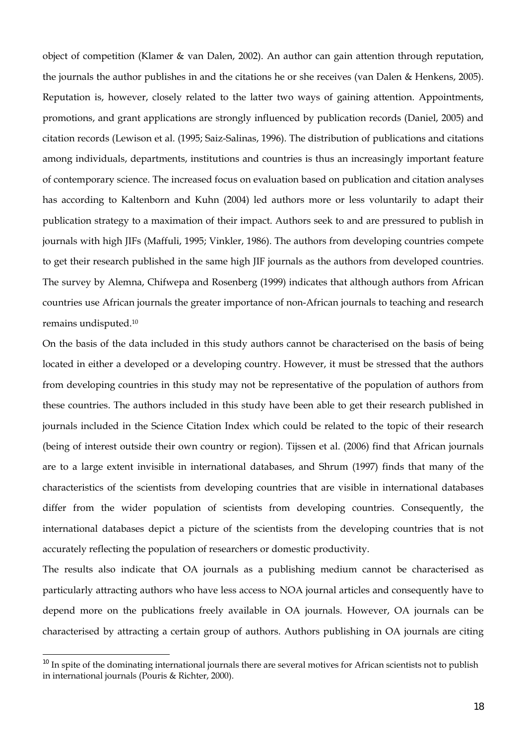object of competition (Klamer & van Dalen, 2002). An author can gain attention through reputation, the journals the author publishes in and the citations he or she receives (van Dalen & Henkens, 2005). Reputation is, however, closely related to the latter two ways of gaining attention. Appointments, promotions, and grant applications are strongly influenced by publication records (Daniel, 2005) and citation records (Lewison et al. (1995; Saiz-Salinas, 1996). The distribution of publications and citations among individuals, departments, institutions and countries is thus an increasingly important feature of contemporary science. The increased focus on evaluation based on publication and citation analyses has according to Kaltenborn and Kuhn (2004) led authors more or less voluntarily to adapt their publication strategy to a maximation of their impact. Authors seek to and are pressured to publish in journals with high JIFs (Maffuli, 1995; Vinkler, 1986). The authors from developing countries compete to get their research published in the same high JIF journals as the authors from developed countries. The survey by Alemna, Chifwepa and Rosenberg (1999) indicates that although authors from African countries use African journals the greater importance of non-African journals to teaching and research remains undisputed.10

On the basis of the data included in this study authors cannot be characterised on the basis of being located in either a developed or a developing country. However, it must be stressed that the authors from developing countries in this study may not be representative of the population of authors from these countries. The authors included in this study have been able to get their research published in journals included in the Science Citation Index which could be related to the topic of their research (being of interest outside their own country or region). Tijssen et al. (2006) find that African journals are to a large extent invisible in international databases, and Shrum (1997) finds that many of the characteristics of the scientists from developing countries that are visible in international databases differ from the wider population of scientists from developing countries. Consequently, the international databases depict a picture of the scientists from the developing countries that is not accurately reflecting the population of researchers or domestic productivity.

The results also indicate that OA journals as a publishing medium cannot be characterised as particularly attracting authors who have less access to NOA journal articles and consequently have to depend more on the publications freely available in OA journals. However, OA journals can be characterised by attracting a certain group of authors. Authors publishing in OA journals are citing

 $\overline{a}$ 

 $10$  In spite of the dominating international journals there are several motives for African scientists not to publish in international journals (Pouris & Richter, 2000).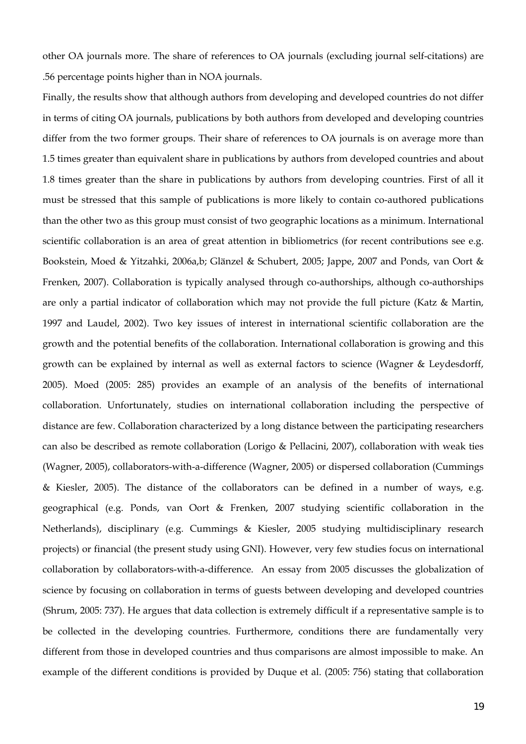other OA journals more. The share of references to OA journals (excluding journal self-citations) are .56 percentage points higher than in NOA journals.

Finally, the results show that although authors from developing and developed countries do not differ in terms of citing OA journals, publications by both authors from developed and developing countries differ from the two former groups. Their share of references to OA journals is on average more than 1.5 times greater than equivalent share in publications by authors from developed countries and about 1.8 times greater than the share in publications by authors from developing countries. First of all it must be stressed that this sample of publications is more likely to contain co-authored publications than the other two as this group must consist of two geographic locations as a minimum. International scientific collaboration is an area of great attention in bibliometrics (for recent contributions see e.g. Bookstein, Moed & Yitzahki, 2006a,b; Glänzel & Schubert, 2005; Jappe, 2007 and Ponds, van Oort & Frenken, 2007). Collaboration is typically analysed through co-authorships, although co-authorships are only a partial indicator of collaboration which may not provide the full picture (Katz & Martin, 1997 and Laudel, 2002). Two key issues of interest in international scientific collaboration are the growth and the potential benefits of the collaboration. International collaboration is growing and this growth can be explained by internal as well as external factors to science (Wagner & Leydesdorff, 2005). Moed (2005: 285) provides an example of an analysis of the benefits of international collaboration. Unfortunately, studies on international collaboration including the perspective of distance are few. Collaboration characterized by a long distance between the participating researchers can also be described as remote collaboration (Lorigo & Pellacini, 2007), collaboration with weak ties (Wagner, 2005), collaborators-with-a-difference (Wagner, 2005) or dispersed collaboration (Cummings & Kiesler, 2005). The distance of the collaborators can be defined in a number of ways, e.g. geographical (e.g. Ponds, van Oort & Frenken, 2007 studying scientific collaboration in the Netherlands), disciplinary (e.g. Cummings & Kiesler, 2005 studying multidisciplinary research projects) or financial (the present study using GNI). However, very few studies focus on international collaboration by collaborators-with-a-difference. An essay from 2005 discusses the globalization of science by focusing on collaboration in terms of guests between developing and developed countries (Shrum, 2005: 737). He argues that data collection is extremely difficult if a representative sample is to be collected in the developing countries. Furthermore, conditions there are fundamentally very different from those in developed countries and thus comparisons are almost impossible to make. An example of the different conditions is provided by Duque et al. (2005: 756) stating that collaboration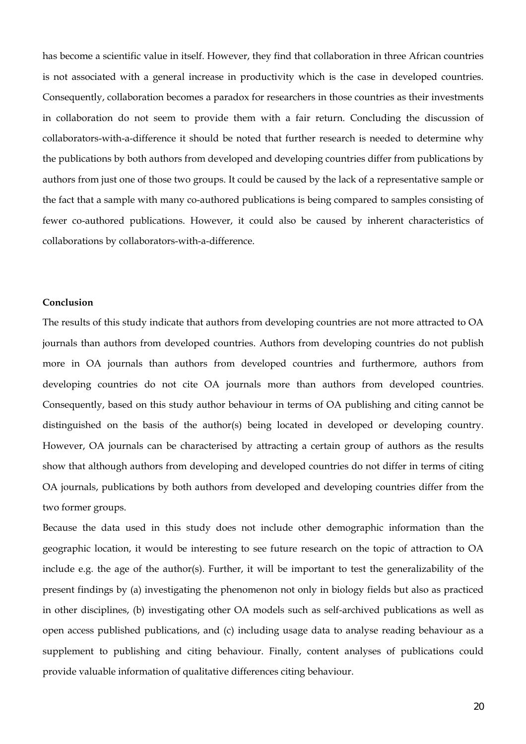has become a scientific value in itself. However, they find that collaboration in three African countries is not associated with a general increase in productivity which is the case in developed countries. Consequently, collaboration becomes a paradox for researchers in those countries as their investments in collaboration do not seem to provide them with a fair return. Concluding the discussion of collaborators-with-a-difference it should be noted that further research is needed to determine why the publications by both authors from developed and developing countries differ from publications by authors from just one of those two groups. It could be caused by the lack of a representative sample or the fact that a sample with many co-authored publications is being compared to samples consisting of fewer co-authored publications. However, it could also be caused by inherent characteristics of collaborations by collaborators-with-a-difference.

#### **Conclusion**

The results of this study indicate that authors from developing countries are not more attracted to OA journals than authors from developed countries. Authors from developing countries do not publish more in OA journals than authors from developed countries and furthermore, authors from developing countries do not cite OA journals more than authors from developed countries. Consequently, based on this study author behaviour in terms of OA publishing and citing cannot be distinguished on the basis of the author(s) being located in developed or developing country. However, OA journals can be characterised by attracting a certain group of authors as the results show that although authors from developing and developed countries do not differ in terms of citing OA journals, publications by both authors from developed and developing countries differ from the two former groups.

Because the data used in this study does not include other demographic information than the geographic location, it would be interesting to see future research on the topic of attraction to OA include e.g. the age of the author(s). Further, it will be important to test the generalizability of the present findings by (a) investigating the phenomenon not only in biology fields but also as practiced in other disciplines, (b) investigating other OA models such as self-archived publications as well as open access published publications, and (c) including usage data to analyse reading behaviour as a supplement to publishing and citing behaviour. Finally, content analyses of publications could provide valuable information of qualitative differences citing behaviour.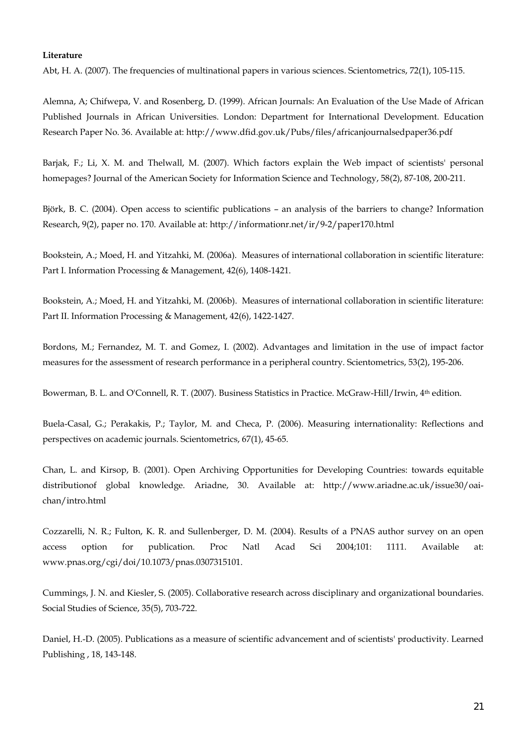#### **Literature**

Abt, H. A. (2007). The frequencies of multinational papers in various sciences. Scientometrics, 72(1), 105-115.

Alemna, A; Chifwepa, V. and Rosenberg, D. (1999). African Journals: An Evaluation of the Use Made of African Published Journals in African Universities. London: Department for International Development. Education Research Paper No. 36. Available at: http://www.dfid.gov.uk/Pubs/files/africanjournalsedpaper36.pdf

Barjak, F.; Li, X. M. and Thelwall, M. (2007). Which factors explain the Web impact of scientists' personal homepages? Journal of the American Society for Information Science and Technology, 58(2), 87-108, 200-211.

Björk, B. C. (2004). Open access to scientific publications – an analysis of the barriers to change? Information Research, 9(2), paper no. 170. Available at: http://informationr.net/ir/9-2/paper170.html

Bookstein, A.; Moed, H. and Yitzahki, M. (2006a). Measures of international collaboration in scientific literature: Part I. Information Processing & Management, 42(6), 1408-1421.

Bookstein, A.; Moed, H. and Yitzahki, M. (2006b). Measures of international collaboration in scientific literature: Part II. Information Processing & Management, 42(6), 1422-1427.

Bordons, M.; Fernandez, M. T. and Gomez, I. (2002). Advantages and limitation in the use of impact factor measures for the assessment of research performance in a peripheral country. Scientometrics, 53(2), 195-206.

Bowerman, B. L. and O'Connell, R. T. (2007). Business Statistics in Practice. McGraw-Hill/Irwin, 4th edition.

Buela-Casal, G.; Perakakis, P.; Taylor, M. and Checa, P. (2006). Measuring internationality: Reflections and perspectives on academic journals. Scientometrics, 67(1), 45-65.

Chan, L. and Kirsop, B. (2001). Open Archiving Opportunities for Developing Countries: towards equitable distributionof global knowledge. Ariadne, 30. Available at: http://www.ariadne.ac.uk/issue30/oaichan/intro.html

Cozzarelli, N. R.; Fulton, K. R. and Sullenberger, D. M. (2004). Results of a PNAS author survey on an open access option for publication. Proc Natl Acad Sci 2004;101: 1111. Available at: www.pnas.org/cgi/doi/10.1073/pnas.0307315101.

Cummings, J. N. and Kiesler, S. (2005). Collaborative research across disciplinary and organizational boundaries. Social Studies of Science, 35(5), 703-722.

Daniel, H.-D. (2005). Publications as a measure of scientific advancement and of scientists' productivity. Learned Publishing , 18, 143-148.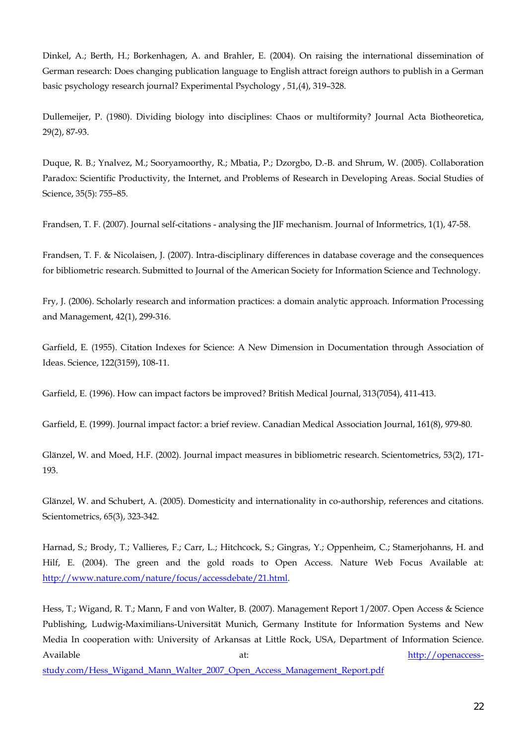Dinkel, A.; Berth, H.; Borkenhagen, A. and Brahler, E. (2004). On raising the international dissemination of German research: Does changing publication language to English attract foreign authors to publish in a German basic psychology research journal? Experimental Psychology , 51,(4), 319–328.

Dullemeijer, P. (1980). Dividing biology into disciplines: Chaos or multiformity? Journal Acta Biotheoretica, 29(2), 87-93.

Duque, R. B.; Ynalvez, M.; Sooryamoorthy, R.; Mbatia, P.; Dzorgbo, D.-B. and Shrum, W. (2005). Collaboration Paradox: Scientific Productivity, the Internet, and Problems of Research in Developing Areas. Social Studies of Science, 35(5): 755–85.

Frandsen, T. F. (2007). Journal self-citations - analysing the JIF mechanism. Journal of Informetrics, 1(1), 47-58.

Frandsen, T. F. & Nicolaisen, J. (2007). Intra-disciplinary differences in database coverage and the consequences for bibliometric research. Submitted to Journal of the American Society for Information Science and Technology.

Fry, J. (2006). Scholarly research and information practices: a domain analytic approach. Information Processing and Management, 42(1), 299-316.

Garfield, E. (1955). Citation Indexes for Science: A New Dimension in Documentation through Association of Ideas. Science, 122(3159), 108-11.

Garfield, E. (1996). How can impact factors be improved? British Medical Journal, 313(7054), 411-413.

Garfield, E. (1999). Journal impact factor: a brief review. Canadian Medical Association Journal, 161(8), 979-80.

Glänzel, W. and Moed, H.F. (2002). Journal impact measures in bibliometric research. Scientometrics, 53(2), 171- 193.

Glänzel, W. and Schubert, A. (2005). Domesticity and internationality in co-authorship, references and citations. Scientometrics, 65(3), 323-342.

Harnad, S.; Brody, T.; Vallieres, F.; Carr, L.; Hitchcock, S.; Gingras, Y.; Oppenheim, C.; Stamerjohanns, H. and Hilf, E. (2004). The green and the gold roads to Open Access. Nature Web Focus Available at: http://www.nature.com/nature/focus/accessdebate/21.html.

Hess, T.; Wigand, R. T.; Mann, F and von Walter, B. (2007). Management Report 1/2007. Open Access & Science Publishing, Ludwig-Maximilians-Universität Munich, Germany Institute for Information Systems and New Media In cooperation with: University of Arkansas at Little Rock, USA, Department of Information Science. Available at: http://openaccessstudy.com/Hess\_Wigand\_Mann\_Walter\_2007\_Open\_Access\_Management\_Report.pdf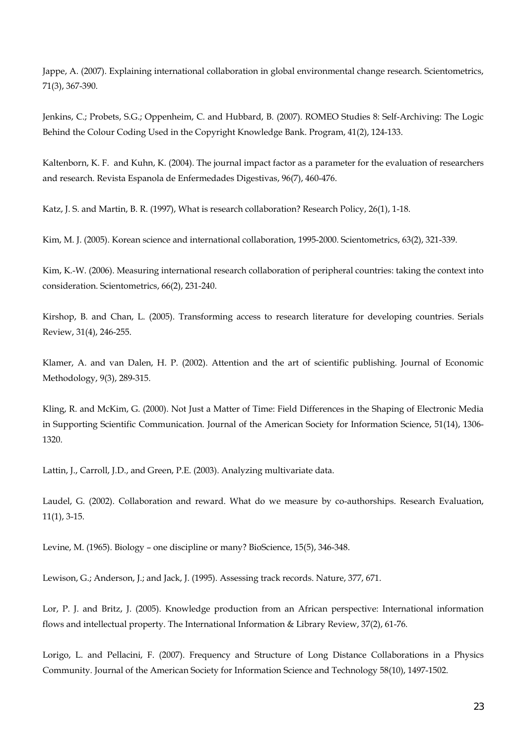Jappe, A. (2007). Explaining international collaboration in global environmental change research. Scientometrics, 71(3), 367-390.

Jenkins, C.; Probets, S.G.; Oppenheim, C. and Hubbard, B. (2007). ROMEO Studies 8: Self-Archiving: The Logic Behind the Colour Coding Used in the Copyright Knowledge Bank. Program, 41(2), 124-133.

Kaltenborn, K. F. and Kuhn, K. (2004). The journal impact factor as a parameter for the evaluation of researchers and research. Revista Espanola de Enfermedades Digestivas, 96(7), 460-476.

Katz, J. S. and Martin, B. R. (1997), What is research collaboration? Research Policy, 26(1), 1-18.

Kim, M. J. (2005). Korean science and international collaboration, 1995-2000. Scientometrics, 63(2), 321-339.

Kim, K.-W. (2006). Measuring international research collaboration of peripheral countries: taking the context into consideration. Scientometrics, 66(2), 231-240.

Kirshop, B. and Chan, L. (2005). Transforming access to research literature for developing countries. Serials Review, 31(4), 246-255.

Klamer, A. and van Dalen, H. P. (2002). Attention and the art of scientific publishing. Journal of Economic Methodology, 9(3), 289-315.

Kling, R. and McKim, G. (2000). Not Just a Matter of Time: Field Differences in the Shaping of Electronic Media in Supporting Scientific Communication. Journal of the American Society for Information Science, 51(14), 1306- 1320.

Lattin, J., Carroll, J.D., and Green, P.E. (2003). Analyzing multivariate data.

Laudel, G. (2002). Collaboration and reward. What do we measure by co-authorships. Research Evaluation, 11(1), 3-15.

Levine, M. (1965). Biology – one discipline or many? BioScience, 15(5), 346-348.

Lewison, G.; Anderson, J.; and Jack, J. (1995). Assessing track records. Nature, 377, 671.

Lor, P. J. and Britz, J. (2005). Knowledge production from an African perspective: International information flows and intellectual property. The International Information & Library Review, 37(2), 61-76.

Lorigo, L. and Pellacini, F. (2007). Frequency and Structure of Long Distance Collaborations in a Physics Community. Journal of the American Society for Information Science and Technology 58(10), 1497-1502.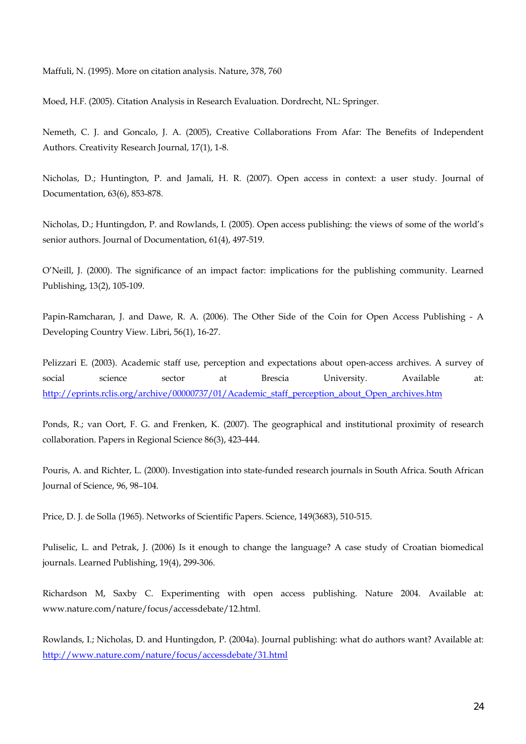Maffuli, N. (1995). More on citation analysis. Nature, 378, 760

Moed, H.F. (2005). Citation Analysis in Research Evaluation. Dordrecht, NL: Springer.

Nemeth, C. J. and Goncalo, J. A. (2005), Creative Collaborations From Afar: The Benefits of Independent Authors. Creativity Research Journal, 17(1), 1-8.

Nicholas, D.; Huntington, P. and Jamali, H. R. (2007). Open access in context: a user study. Journal of Documentation, 63(6), 853-878.

Nicholas, D.; Huntingdon, P. and Rowlands, I. (2005). Open access publishing: the views of some of the world's senior authors. Journal of Documentation, 61(4), 497-519.

O'Neill, J. (2000). The significance of an impact factor: implications for the publishing community. Learned Publishing, 13(2), 105-109.

Papin-Ramcharan, J. and Dawe, R. A. (2006). The Other Side of the Coin for Open Access Publishing - A Developing Country View. Libri, 56(1), 16-27.

Pelizzari E. (2003). Academic staff use, perception and expectations about open-access archives. A survey of social science sector at Brescia University. Available at: http://eprints.rclis.org/archive/00000737/01/Academic\_staff\_perception\_about\_Open\_archives.htm

Ponds, R.; van Oort, F. G. and Frenken, K. (2007). The geographical and institutional proximity of research collaboration. Papers in Regional Science 86(3), 423-444.

Pouris, A. and Richter, L. (2000). Investigation into state-funded research journals in South Africa. South African Journal of Science, 96, 98–104.

Price, D. J. de Solla (1965). Networks of Scientific Papers. Science, 149(3683), 510-515.

Puliselic, L. and Petrak, J. (2006) Is it enough to change the language? A case study of Croatian biomedical journals. Learned Publishing, 19(4), 299-306.

Richardson M, Saxby C. Experimenting with open access publishing. Nature 2004. Available at: www.nature.com/nature/focus/accessdebate/12.html.

Rowlands, I.; Nicholas, D. and Huntingdon, P. (2004a). Journal publishing: what do authors want? Available at: http://www.nature.com/nature/focus/accessdebate/31.html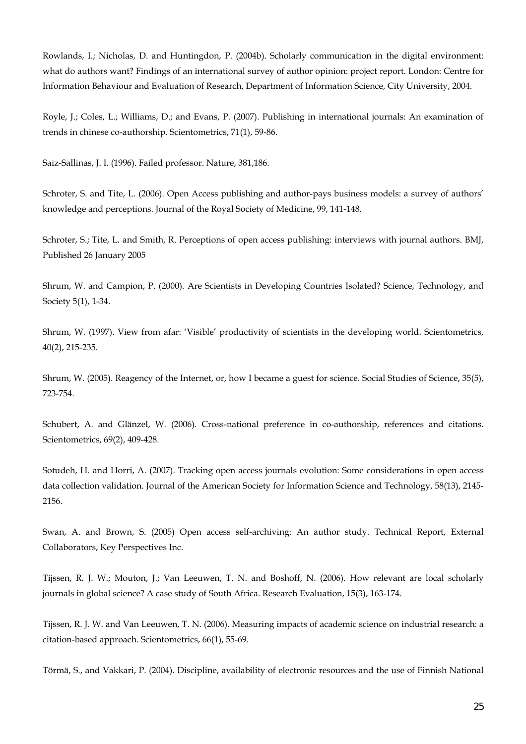Rowlands, I.; Nicholas, D. and Huntingdon, P. (2004b). Scholarly communication in the digital environment: what do authors want? Findings of an international survey of author opinion: project report. London: Centre for Information Behaviour and Evaluation of Research, Department of Information Science, City University, 2004.

Royle, J.; Coles, L.; Williams, D.; and Evans, P. (2007). Publishing in international journals: An examination of trends in chinese co-authorship. Scientometrics, 71(1), 59-86.

Saiz-Sallinas, J. I. (1996). Failed professor. Nature, 381,186.

Schroter, S. and Tite, L. (2006). Open Access publishing and author-pays business models: a survey of authors' knowledge and perceptions. Journal of the Royal Society of Medicine, 99, 141-148.

Schroter, S.; Tite, L. and Smith, R. Perceptions of open access publishing: interviews with journal authors. BMJ, Published 26 January 2005

Shrum, W. and Campion, P. (2000). Are Scientists in Developing Countries Isolated? Science, Technology, and Society 5(1), 1-34.

Shrum, W. (1997). View from afar: 'Visible' productivity of scientists in the developing world. Scientometrics, 40(2), 215-235.

Shrum, W. (2005). Reagency of the Internet, or, how I became a guest for science. Social Studies of Science, 35(5), 723-754.

Schubert, A. and Glänzel, W. (2006). Cross-national preference in co-authorship, references and citations. Scientometrics, 69(2), 409-428.

Sotudeh, H. and Horri, A. (2007). Tracking open access journals evolution: Some considerations in open access data collection validation. Journal of the American Society for Information Science and Technology, 58(13), 2145- 2156.

Swan, A. and Brown, S. (2005) Open access self-archiving: An author study. Technical Report, External Collaborators, Key Perspectives Inc.

Tijssen, R. J. W.; Mouton, J.; Van Leeuwen, T. N. and Boshoff, N. (2006). How relevant are local scholarly journals in global science? A case study of South Africa. Research Evaluation, 15(3), 163-174.

Tijssen, R. J. W. and Van Leeuwen, T. N. (2006). Measuring impacts of academic science on industrial research: a citation-based approach. Scientometrics, 66(1), 55-69.

Törmä, S., and Vakkari, P. (2004). Discipline, availability of electronic resources and the use of Finnish National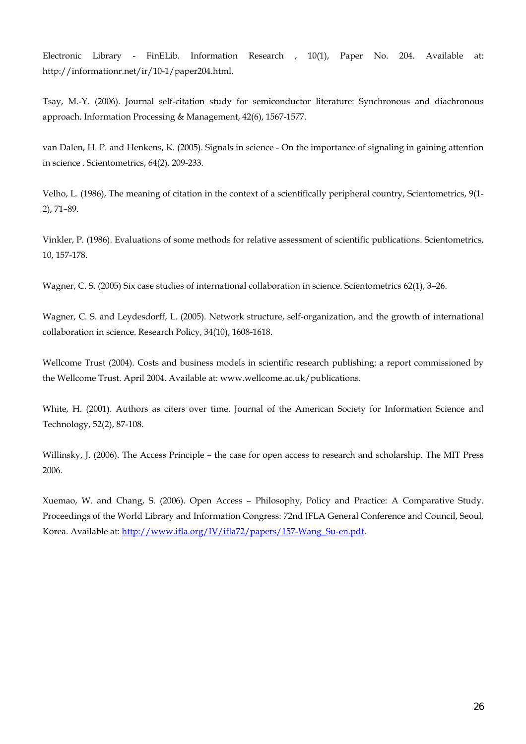Electronic Library - FinELib. Information Research , 10(1), Paper No. 204. Available at: http://informationr.net/ir/10-1/paper204.html.

Tsay, M.-Y. (2006). Journal self-citation study for semiconductor literature: Synchronous and diachronous approach. Information Processing & Management, 42(6), 1567-1577.

van Dalen, H. P. and Henkens, K. (2005). Signals in science - On the importance of signaling in gaining attention in science . Scientometrics, 64(2), 209-233.

Velho, L. (1986), The meaning of citation in the context of a scientifically peripheral country, Scientometrics, 9(1- 2), 71–89.

Vinkler, P. (1986). Evaluations of some methods for relative assessment of scientific publications. Scientometrics, 10, 157-178.

Wagner, C. S. (2005) Six case studies of international collaboration in science. Scientometrics 62(1), 3–26.

Wagner, C. S. and Leydesdorff, L. (2005). Network structure, self-organization, and the growth of international collaboration in science. Research Policy, 34(10), 1608-1618.

Wellcome Trust (2004). Costs and business models in scientific research publishing: a report commissioned by the Wellcome Trust. April 2004. Available at: www.wellcome.ac.uk/publications.

White, H. (2001). Authors as citers over time. Journal of the American Society for Information Science and Technology, 52(2), 87-108.

Willinsky, J. (2006). The Access Principle – the case for open access to research and scholarship. The MIT Press 2006.

Xuemao, W. and Chang, S. (2006). Open Access – Philosophy, Policy and Practice: A Comparative Study. Proceedings of the World Library and Information Congress: 72nd IFLA General Conference and Council, Seoul, Korea. Available at: http://www.ifla.org/IV/ifla72/papers/157-Wang\_Su-en.pdf.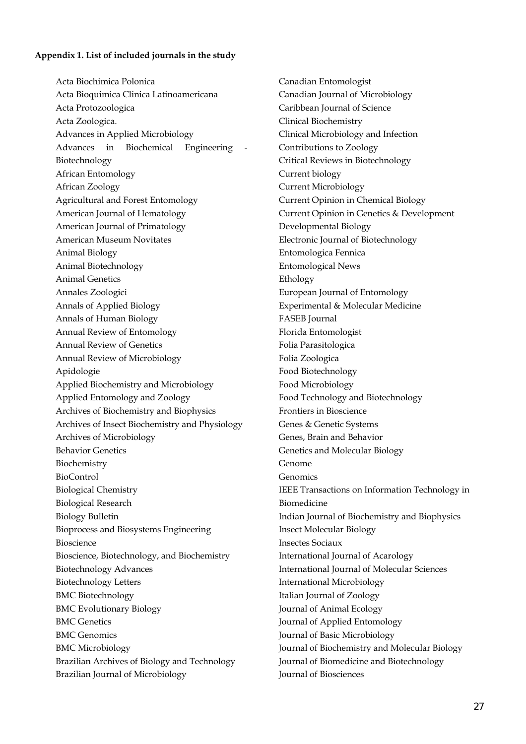#### **Appendix 1. List of included journals in the study**

Acta Biochimica Polonica Acta Bioquimica Clinica Latinoamericana Acta Protozoologica Acta Zoologica. Advances in Applied Microbiology Advances in Biochemical Engineering Biotechnology African Entomology African Zoology Agricultural and Forest Entomology American Journal of Hematology American Journal of Primatology American Museum Novitates Animal Biology Animal Biotechnology Animal Genetics Annales Zoologici Annals of Applied Biology Annals of Human Biology Annual Review of Entomology Annual Review of Genetics Annual Review of Microbiology Apidologie Applied Biochemistry and Microbiology Applied Entomology and Zoology Archives of Biochemistry and Biophysics Archives of Insect Biochemistry and Physiology Archives of Microbiology Behavior Genetics Biochemistry BioControl Biological Chemistry Biological Research Biology Bulletin Bioprocess and Biosystems Engineering Bioscience Bioscience, Biotechnology, and Biochemistry Biotechnology Advances Biotechnology Letters BMC Biotechnology BMC Evolutionary Biology BMC Genetics BMC Genomics BMC Microbiology Brazilian Archives of Biology and Technology Brazilian Journal of Microbiology

Canadian Entomologist Canadian Journal of Microbiology Caribbean Journal of Science Clinical Biochemistry Clinical Microbiology and Infection Contributions to Zoology Critical Reviews in Biotechnology Current biology Current Microbiology Current Opinion in Chemical Biology Current Opinion in Genetics & Development Developmental Biology Electronic Journal of Biotechnology Entomologica Fennica Entomological News Ethology European Journal of Entomology Experimental & Molecular Medicine FASEB Journal Florida Entomologist Folia Parasitologica Folia Zoologica Food Biotechnology Food Microbiology Food Technology and Biotechnology Frontiers in Bioscience Genes & Genetic Systems Genes, Brain and Behavior Genetics and Molecular Biology Genome Genomics IEEE Transactions on Information Technology in Biomedicine Indian Journal of Biochemistry and Biophysics Insect Molecular Biology Insectes Sociaux International Journal of Acarology International Journal of Molecular Sciences International Microbiology Italian Journal of Zoology Journal of Animal Ecology Journal of Applied Entomology Journal of Basic Microbiology Journal of Biochemistry and Molecular Biology Journal of Biomedicine and Biotechnology Journal of Biosciences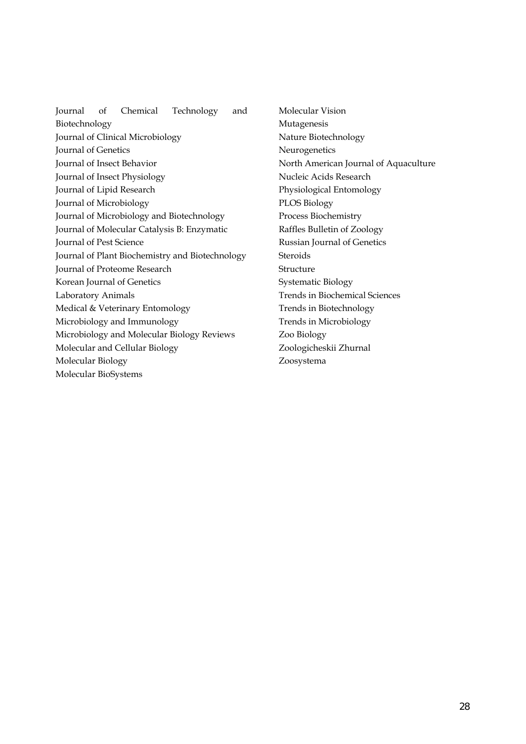Journal of Chemical Technology and Biotechnology Journal of Clinical Microbiology Journal of Genetics Journal of Insect Behavior Journal of Insect Physiology Journal of Lipid Research Journal of Microbiology Journal of Microbiology and Biotechnology Journal of Molecular Catalysis B: Enzymatic Journal of Pest Science Journal of Plant Biochemistry and Biotechnology Journal of Proteome Research Korean Journal of Genetics Laboratory Animals Medical & Veterinary Entomology Microbiology and Immunology Microbiology and Molecular Biology Reviews Molecular and Cellular Biology Molecular Biology Molecular BioSystems

Molecular Vision Mutagenesis Nature Biotechnology Neurogenetics North American Journal of Aquaculture Nucleic Acids Research Physiological Entomology PLOS Biology Process Biochemistry Raffles Bulletin of Zoology Russian Journal of Genetics **Steroids** Structure Systematic Biology Trends in Biochemical Sciences Trends in Biotechnology Trends in Microbiology Zoo Biology Zoologicheskii Zhurnal Zoosystema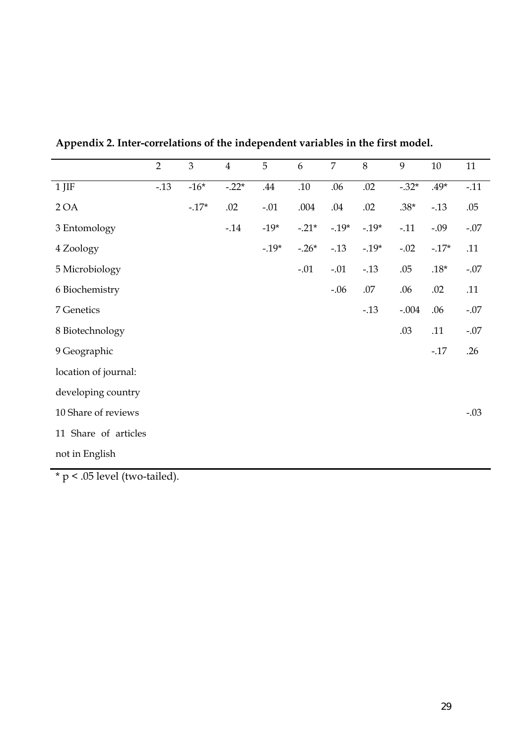|                      | $\overline{2}$ | 3       | $\overline{4}$ | 5       | 6       | $\overline{7}$ | $8\,$   | 9       | $10\,$  | 11     |
|----------------------|----------------|---------|----------------|---------|---------|----------------|---------|---------|---------|--------|
| $1$ JIF              | $-.13$         | $-16*$  | $-.22*$        | .44     | .10     | .06            | .02     | $-.32*$ | $.49*$  | $-.11$ |
| 2 OA                 |                | $-.17*$ | .02            | $-.01$  | .004    | .04            | .02     | $.38*$  | $-.13$  | .05    |
| 3 Entomology         |                |         | $-.14$         | $-19*$  | $-.21*$ | $-.19*$        | $-.19*$ | $-.11$  | $-.09$  | $-.07$ |
| 4 Zoology            |                |         |                | $-.19*$ | $-.26*$ | $-13$          | $-.19*$ | $-.02$  | $-.17*$ | .11    |
| 5 Microbiology       |                |         |                |         | $-.01$  | $-.01$         | $-.13$  | .05     | $.18*$  | $-.07$ |
| 6 Biochemistry       |                |         |                |         |         | $-.06$         | .07     | .06     | .02     | .11    |
| 7 Genetics           |                |         |                |         |         |                | $-.13$  | $-.004$ | .06     | $-.07$ |
| 8 Biotechnology      |                |         |                |         |         |                |         | .03     | .11     | $-.07$ |
| 9 Geographic         |                |         |                |         |         |                |         |         | $-.17$  | .26    |
| location of journal: |                |         |                |         |         |                |         |         |         |        |
| developing country   |                |         |                |         |         |                |         |         |         |        |
| 10 Share of reviews  |                |         |                |         |         |                |         |         |         | $-.03$ |
| 11 Share of articles |                |         |                |         |         |                |         |         |         |        |
| not in English       |                |         |                |         |         |                |         |         |         |        |

**Appendix 2. Inter-correlations of the independent variables in the first model.** 

 $*$  p < .05 level (two-tailed).